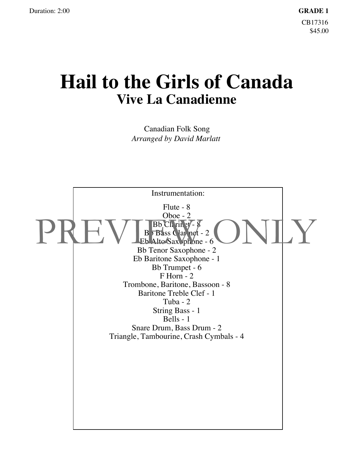## **Hail to the Girls of Canada Vive La Canadienne**

*Arranged by David Marlatt* Canadian Folk Song

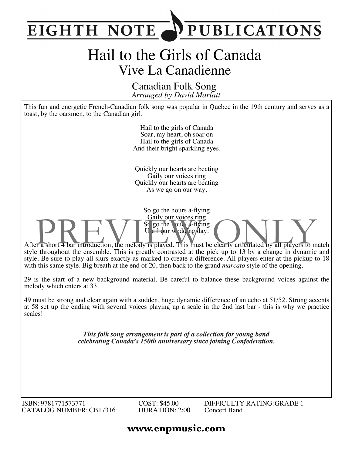PUBLICATIONS **EIGHTH NOTE** 

## Hail to the Girls of Canada Vive La Canadienne

*Arranged by David Marlatt* Canadian Folk Song

This fun and energetic French-Canadian folk song was popular in Quebec in the 19th century and serves as a toast, by the oarsmen, to the Canadian girl.

> Hail to the girls of Canada Soar, my heart, oh soar on Hail to the girls of Canada And their bright sparkling eyes.

Quickly our hearts are beating Gaily our voices ring Quickly our hearts are beating As we go on our way.

> So go the hours a-flying Gaily our voices ring So go the hours a-flying

U til our wedd ng/day.

After a short 4 bar introduction, the melody is played. This must be clearly articulated by all players to match style throughout the ensemble. This is greatly contrasted at the pick up to 13 by a change in dynamic and style. Be sure to play all slurs exactly as marked to create a difference. All players enter at the pickup to 18 with this same style. Big breath at the end of 20, then back to the grand *marcato* style of the opening.

29 is the start of a new background material. Be careful to balance these background voices against the melody which enters at 33.

49 must be strong and clear again with a sudden, huge dynamic difference of an echo at 51/52. Strong accents at 58 set up the ending with several voices playing up a scale in the 2nd last bar - this is why we practice scales!

> *This folk song arrangement is part of a collection for young band celebrating Canada's 150th anniversary since joining Confederation.*

ISBN: 9781771573771 CATALOG NUMBER:CB17316 COST: \$45.00 DURATION: 2:00 DIFFICULTY RATING:GRADE 1 Concert Band

## **www.enpmusic.com**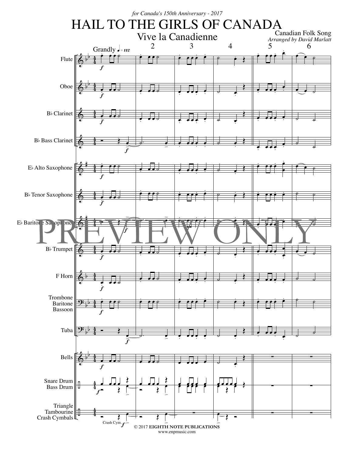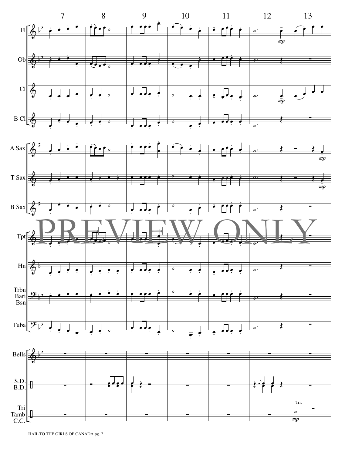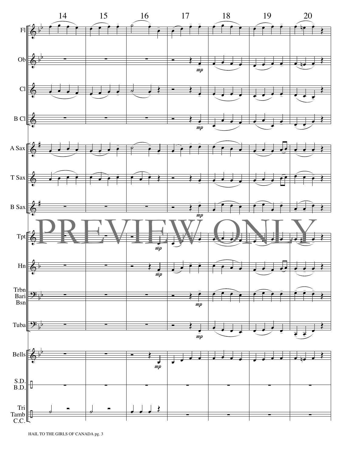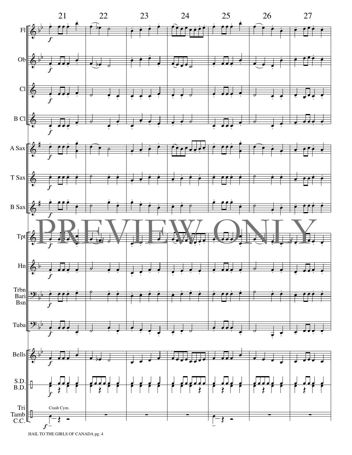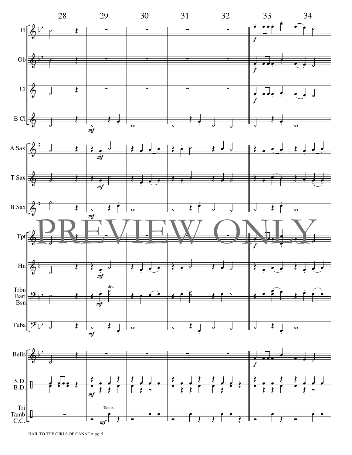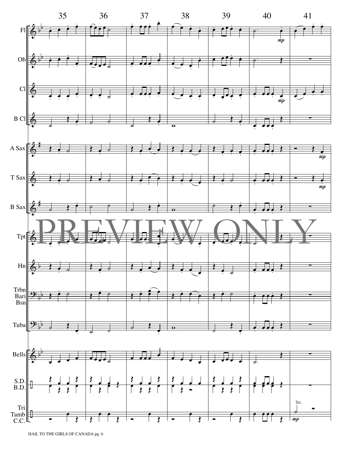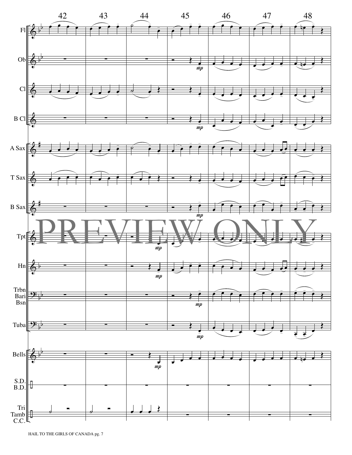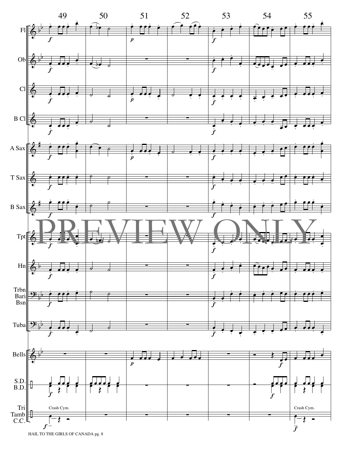![](_page_9_Figure_0.jpeg)